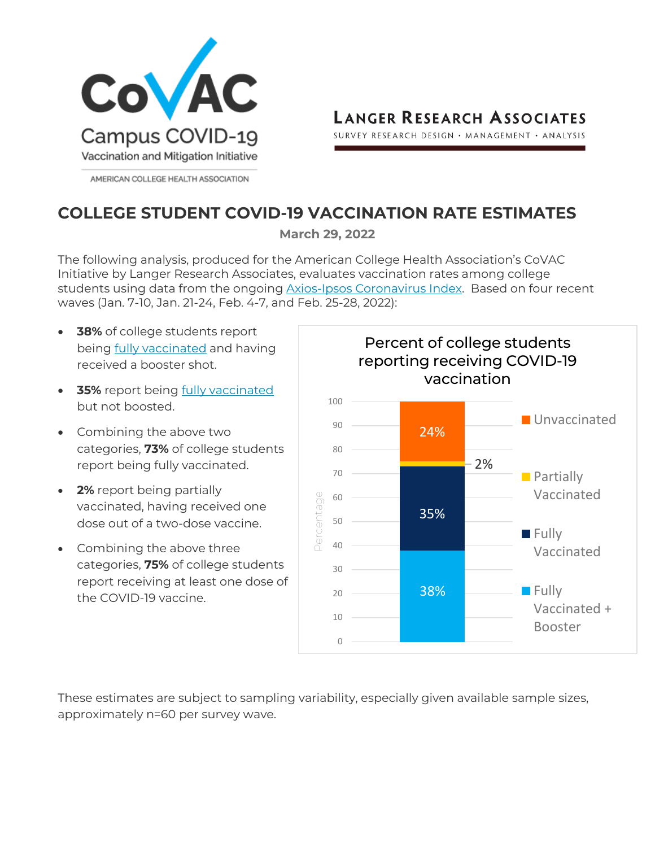

**LANGER RESEARCH ASSOCIATES** 

SURVEY RESEARCH DESIGN · MANAGEMENT · ANALYSIS

## **COLLEGE STUDENT COVID-19 VACCINATION RATE ESTIMATES**

**March 29, 2022**

The following analysis, produced for the American College Health Association's CoVAC Initiative by Langer Research Associates, evaluates vaccination rates among college students using data from the ongoing [Axios-Ipsos Coronavirus Index.](https://www.ipsos.com/en-us/news-polls/axios-ipsos-coronavirus-index) Based on four recent waves (Jan. 7-10, Jan. 21-24, Feb. 4-7, and Feb. 25-28, 2022):

- **38%** of college students report being [fully vaccinated](https://www.cdc.gov/coronavirus/2019-ncov/vaccines/stay-up-to-date.html) and having received a booster shot.
- **35%** report being [fully vaccinated](https://www.cdc.gov/coronavirus/2019-ncov/vaccines/stay-up-to-date.html) but not boosted.
- Combining the above two categories, **73%** of college students report being fully vaccinated.
- **2%** report being partially vaccinated, having received one dose out of a two-dose vaccine.
- Combining the above three categories, **75%** of college students report receiving at least one dose of the COVID-19 vaccine.



These estimates are subject to sampling variability, especially given available sample sizes, approximately n=60 per survey wave.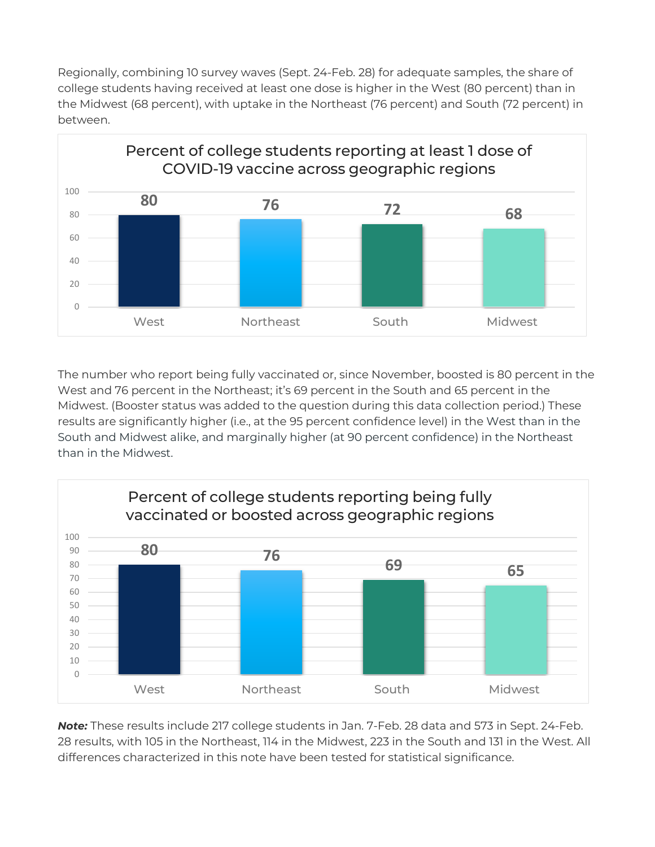Regionally, combining 10 survey waves (Sept. 24-Feb. 28) for adequate samples, the share of college students having received at least one dose is higher in the West (80 percent) than in the Midwest (68 percent), with uptake in the Northeast (76 percent) and South (72 percent) in between.



The number who report being fully vaccinated or, since November, boosted is 80 percent in the West and 76 percent in the Northeast; it's 69 percent in the South and 65 percent in the Midwest. (Booster status was added to the question during this data collection period.) These results are significantly higher (i.e., at the 95 percent confidence level) in the West than in the South and Midwest alike, and marginally higher (at 90 percent confidence) in the Northeast than in the Midwest.



*Note:* These results include 217 college students in Jan. 7-Feb. 28 data and 573 in Sept. 24-Feb. 28 results, with 105 in the Northeast, 114 in the Midwest, 223 in the South and 131 in the West. All differences characterized in this note have been tested for statistical significance.